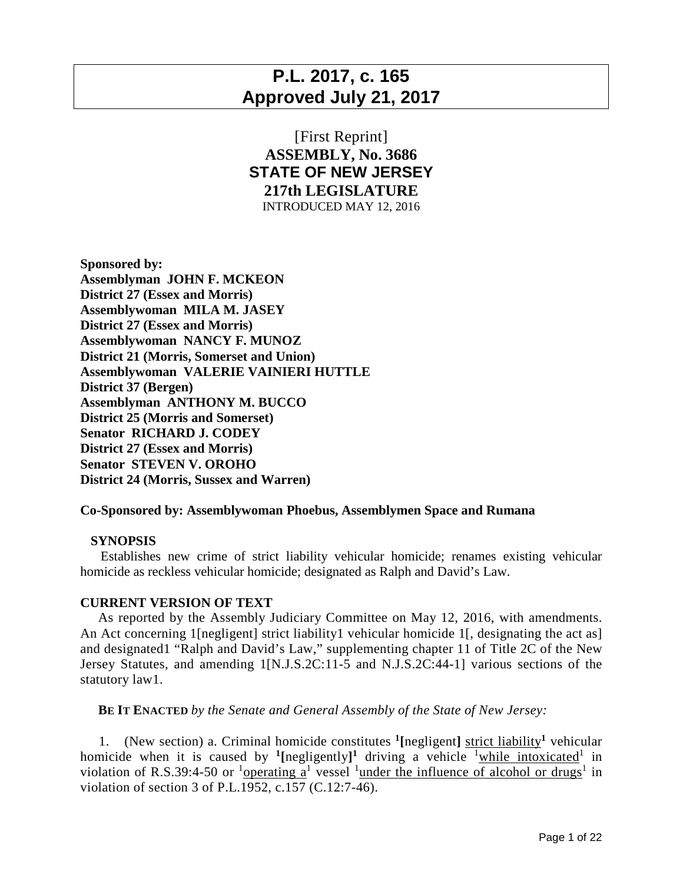# **P.L. 2017, c. 165 Approved July 21, 2017**

## [First Reprint] **ASSEMBLY, No. 3686 STATE OF NEW JERSEY 217th LEGISLATURE** INTRODUCED MAY 12, 2016

**Sponsored by: Assemblyman JOHN F. MCKEON District 27 (Essex and Morris) Assemblywoman MILA M. JASEY District 27 (Essex and Morris) Assemblywoman NANCY F. MUNOZ District 21 (Morris, Somerset and Union) Assemblywoman VALERIE VAINIERI HUTTLE District 37 (Bergen) Assemblyman ANTHONY M. BUCCO District 25 (Morris and Somerset) Senator RICHARD J. CODEY District 27 (Essex and Morris) Senator STEVEN V. OROHO District 24 (Morris, Sussex and Warren)**

#### **Co-Sponsored by: Assemblywoman Phoebus, Assemblymen Space and Rumana**

#### **SYNOPSIS**

 Establishes new crime of strict liability vehicular homicide; renames existing vehicular homicide as reckless vehicular homicide; designated as Ralph and David's Law.

### **CURRENT VERSION OF TEXT**

 As reported by the Assembly Judiciary Committee on May 12, 2016, with amendments. An Act concerning 1 [negligent] strict liability1 vehicular homicide 1 [, designating the act as] and designated1 "Ralph and David's Law," supplementing chapter 11 of Title 2C of the New Jersey Statutes, and amending 1[N.J.S.2C:11-5 and N.J.S.2C:44-1] various sections of the statutory law1.

**BE IT ENACTED** *by the Senate and General Assembly of the State of New Jersey:*

 1. (New section) a. Criminal homicide constitutes **1[**negligent**]** strict liability**<sup>1</sup>** vehicular homicide when it is caused by <sup>1</sup>[negligently]<sup>1</sup> driving a vehicle <sup>1</sup>while intoxicated<sup>1</sup> in violation of R.S.39:4-50 or  $\frac{1}{2}$  operating  $a^1$  vessel  $\frac{1}{2}$  under the influence of alcohol or drugs<sup>1</sup> in violation of section 3 of P.L.1952, c.157 (C.12:7-46).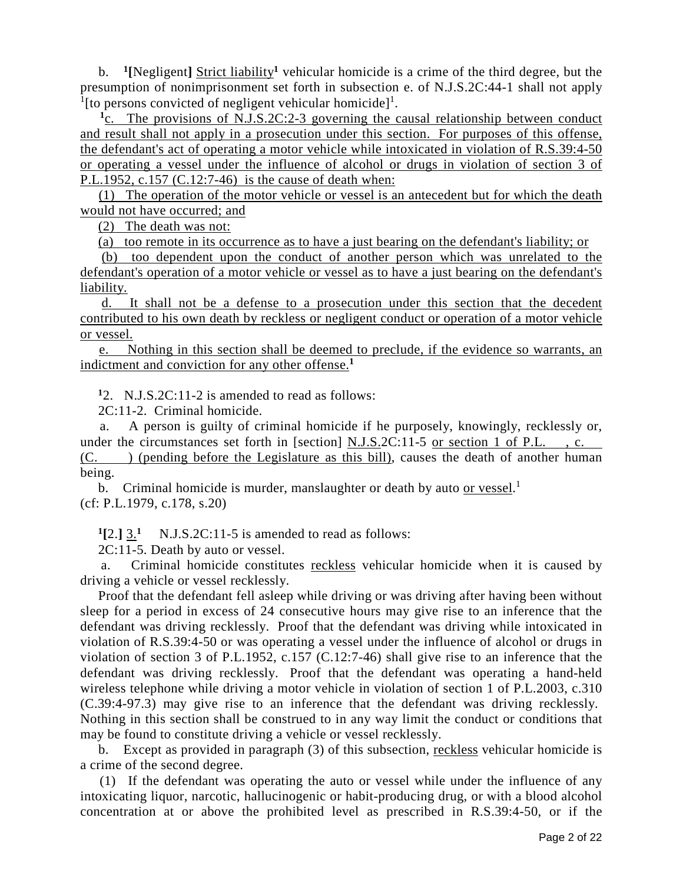b. **1[**Negligent**]** Strict liability**<sup>1</sup>** vehicular homicide is a crime of the third degree, but the presumption of nonimprisonment set forth in subsection e. of N.J.S.2C:44-1 shall not apply <sup>1</sup>[to persons convicted of negligent vehicular homicide]<sup>1</sup>.

<sup>1</sup>c. The provisions of N.J.S.2C:2-3 governing the causal relationship between conduct and result shall not apply in a prosecution under this section. For purposes of this offense, the defendant's act of operating a motor vehicle while intoxicated in violation of R.S.39:4-50 or operating a vessel under the influence of alcohol or drugs in violation of section 3 of P.L.1952, c.157 (C.12:7-46) is the cause of death when:

 (1) The operation of the motor vehicle or vessel is an antecedent but for which the death would not have occurred; and

(2) The death was not:

(a) too remote in its occurrence as to have a just bearing on the defendant's liability; or

 (b) too dependent upon the conduct of another person which was unrelated to the defendant's operation of a motor vehicle or vessel as to have a just bearing on the defendant's liability.

 d. It shall not be a defense to a prosecution under this section that the decedent contributed to his own death by reckless or negligent conduct or operation of a motor vehicle or vessel.

 e. Nothing in this section shall be deemed to preclude, if the evidence so warrants, an indictment and conviction for any other offense.**<sup>1</sup>**

**<sup>1</sup>**2. N.J.S.2C:11-2 is amended to read as follows:

2C:11-2. Criminal homicide.

 a. A person is guilty of criminal homicide if he purposely, knowingly, recklessly or, under the circumstances set forth in [section] N.J.S.2C:11-5 or section 1 of P.L., c. (C. ) (pending before the Legislature as this bill), causes the death of another human being.

b. Criminal homicide is murder, manslaughter or death by auto or vessel.<sup>1</sup> (cf: P.L.1979, c.178, s.20)

 $\frac{1}{2}$ .] 3.<sup>1</sup> N.J.S.2C:11-5 is amended to read as follows:

2C:11-5. Death by auto or vessel.

 a. Criminal homicide constitutes reckless vehicular homicide when it is caused by driving a vehicle or vessel recklessly.

 Proof that the defendant fell asleep while driving or was driving after having been without sleep for a period in excess of 24 consecutive hours may give rise to an inference that the defendant was driving recklessly. Proof that the defendant was driving while intoxicated in violation of R.S.39:4-50 or was operating a vessel under the influence of alcohol or drugs in violation of section 3 of P.L.1952, c.157 (C.12:7-46) shall give rise to an inference that the defendant was driving recklessly. Proof that the defendant was operating a hand-held wireless telephone while driving a motor vehicle in violation of section 1 of P.L.2003, c.310 (C.39:4-97.3) may give rise to an inference that the defendant was driving recklessly. Nothing in this section shall be construed to in any way limit the conduct or conditions that may be found to constitute driving a vehicle or vessel recklessly.

 b. Except as provided in paragraph (3) of this subsection, reckless vehicular homicide is a crime of the second degree.

 (1) If the defendant was operating the auto or vessel while under the influence of any intoxicating liquor, narcotic, hallucinogenic or habit-producing drug, or with a blood alcohol concentration at or above the prohibited level as prescribed in R.S.39:4-50, or if the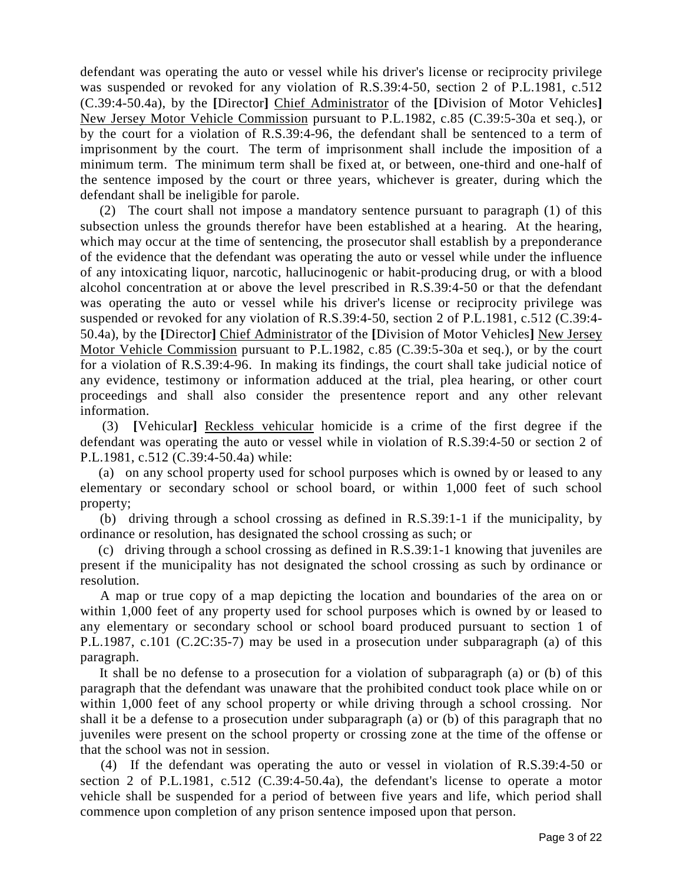defendant was operating the auto or vessel while his driver's license or reciprocity privilege was suspended or revoked for any violation of R.S.39:4-50, section 2 of P.L.1981, c.512 (C.39:4-50.4a), by the **[**Director**]** Chief Administrator of the **[**Division of Motor Vehicles**]** New Jersey Motor Vehicle Commission pursuant to P.L.1982, c.85 (C.39:5-30a et seq.), or by the court for a violation of R.S.39:4-96, the defendant shall be sentenced to a term of imprisonment by the court. The term of imprisonment shall include the imposition of a minimum term. The minimum term shall be fixed at, or between, one-third and one-half of the sentence imposed by the court or three years, whichever is greater, during which the defendant shall be ineligible for parole.

 (2) The court shall not impose a mandatory sentence pursuant to paragraph (1) of this subsection unless the grounds therefor have been established at a hearing. At the hearing, which may occur at the time of sentencing, the prosecutor shall establish by a preponderance of the evidence that the defendant was operating the auto or vessel while under the influence of any intoxicating liquor, narcotic, hallucinogenic or habit-producing drug, or with a blood alcohol concentration at or above the level prescribed in R.S.39:4-50 or that the defendant was operating the auto or vessel while his driver's license or reciprocity privilege was suspended or revoked for any violation of R.S.39:4-50, section 2 of P.L.1981, c.512 (C.39:4- 50.4a), by the **[**Director**]** Chief Administrator of the **[**Division of Motor Vehicles**]** New Jersey Motor Vehicle Commission pursuant to P.L.1982, c.85 (C.39:5-30a et seq.), or by the court for a violation of R.S.39:4-96. In making its findings, the court shall take judicial notice of any evidence, testimony or information adduced at the trial, plea hearing, or other court proceedings and shall also consider the presentence report and any other relevant information.

 (3) **[**Vehicular**]** Reckless vehicular homicide is a crime of the first degree if the defendant was operating the auto or vessel while in violation of R.S.39:4-50 or section 2 of P.L.1981, c.512 (C.39:4-50.4a) while:

 (a) on any school property used for school purposes which is owned by or leased to any elementary or secondary school or school board, or within 1,000 feet of such school property;

 (b) driving through a school crossing as defined in R.S.39:1-1 if the municipality, by ordinance or resolution, has designated the school crossing as such; or

 (c) driving through a school crossing as defined in R.S.39:1-1 knowing that juveniles are present if the municipality has not designated the school crossing as such by ordinance or resolution.

 A map or true copy of a map depicting the location and boundaries of the area on or within 1,000 feet of any property used for school purposes which is owned by or leased to any elementary or secondary school or school board produced pursuant to section 1 of P.L.1987, c.101 (C.2C:35-7) may be used in a prosecution under subparagraph (a) of this paragraph.

 It shall be no defense to a prosecution for a violation of subparagraph (a) or (b) of this paragraph that the defendant was unaware that the prohibited conduct took place while on or within 1,000 feet of any school property or while driving through a school crossing. Nor shall it be a defense to a prosecution under subparagraph (a) or (b) of this paragraph that no juveniles were present on the school property or crossing zone at the time of the offense or that the school was not in session.

 (4) If the defendant was operating the auto or vessel in violation of R.S.39:4-50 or section 2 of P.L.1981, c.512 (C.39:4-50.4a), the defendant's license to operate a motor vehicle shall be suspended for a period of between five years and life, which period shall commence upon completion of any prison sentence imposed upon that person.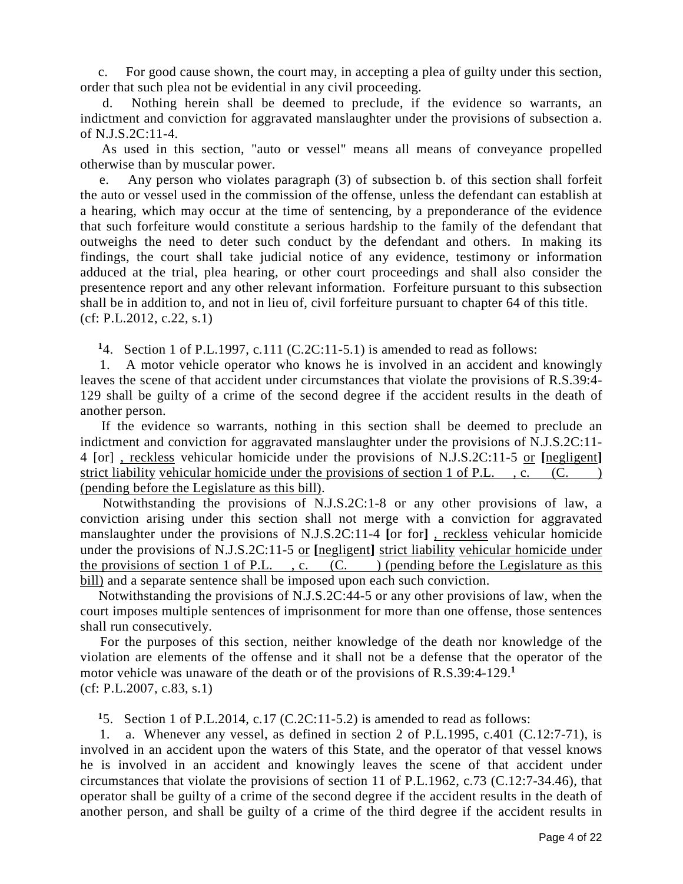c. For good cause shown, the court may, in accepting a plea of guilty under this section, order that such plea not be evidential in any civil proceeding.

Nothing herein shall be deemed to preclude, if the evidence so warrants, an indictment and conviction for aggravated manslaughter under the provisions of subsection a. of N.J.S.2C:11-4.

 As used in this section, "auto or vessel" means all means of conveyance propelled otherwise than by muscular power.

 e. Any person who violates paragraph (3) of subsection b. of this section shall forfeit the auto or vessel used in the commission of the offense, unless the defendant can establish at a hearing, which may occur at the time of sentencing, by a preponderance of the evidence that such forfeiture would constitute a serious hardship to the family of the defendant that outweighs the need to deter such conduct by the defendant and others. In making its findings, the court shall take judicial notice of any evidence, testimony or information adduced at the trial, plea hearing, or other court proceedings and shall also consider the presentence report and any other relevant information. Forfeiture pursuant to this subsection shall be in addition to, and not in lieu of, civil forfeiture pursuant to chapter 64 of this title. (cf: P.L.2012, c.22, s.1)

**<sup>1</sup>**4. Section 1 of P.L.1997, c.111 (C.2C:11-5.1) is amended to read as follows:

 1. A motor vehicle operator who knows he is involved in an accident and knowingly leaves the scene of that accident under circumstances that violate the provisions of R.S.39:4- 129 shall be guilty of a crime of the second degree if the accident results in the death of another person.

 If the evidence so warrants, nothing in this section shall be deemed to preclude an indictment and conviction for aggravated manslaughter under the provisions of N.J.S.2C:11- 4 [or] , reckless vehicular homicide under the provisions of N.J.S.2C:11-5 or **[**negligent**]** strict liability vehicular homicide under the provisions of section 1 of P.L., c. (C. (pending before the Legislature as this bill).

 Notwithstanding the provisions of N.J.S.2C:1-8 or any other provisions of law, a conviction arising under this section shall not merge with a conviction for aggravated manslaughter under the provisions of N.J.S.2C:11-4 **[**or for**]** , reckless vehicular homicide under the provisions of N.J.S.2C:11-5 or **[**negligent**]** strict liability vehicular homicide under the provisions of section 1 of P.L.  $\cdot$ , c.  $\cdot$  (C. ) (pending before the Legislature as this bill) and a separate sentence shall be imposed upon each such conviction.

 Notwithstanding the provisions of N.J.S.2C:44-5 or any other provisions of law, when the court imposes multiple sentences of imprisonment for more than one offense, those sentences shall run consecutively.

 For the purposes of this section, neither knowledge of the death nor knowledge of the violation are elements of the offense and it shall not be a defense that the operator of the motor vehicle was unaware of the death or of the provisions of R.S.39:4-129.**<sup>1</sup>** (cf: P.L.2007, c.83, s.1)

**<sup>1</sup>**5. Section 1 of P.L.2014, c.17 (C.2C:11-5.2) is amended to read as follows:

 1. a. Whenever any vessel, as defined in section 2 of P.L.1995, c.401 (C.12:7-71), is involved in an accident upon the waters of this State, and the operator of that vessel knows he is involved in an accident and knowingly leaves the scene of that accident under circumstances that violate the provisions of section 11 of P.L.1962, c.73 (C.12:7-34.46), that operator shall be guilty of a crime of the second degree if the accident results in the death of another person, and shall be guilty of a crime of the third degree if the accident results in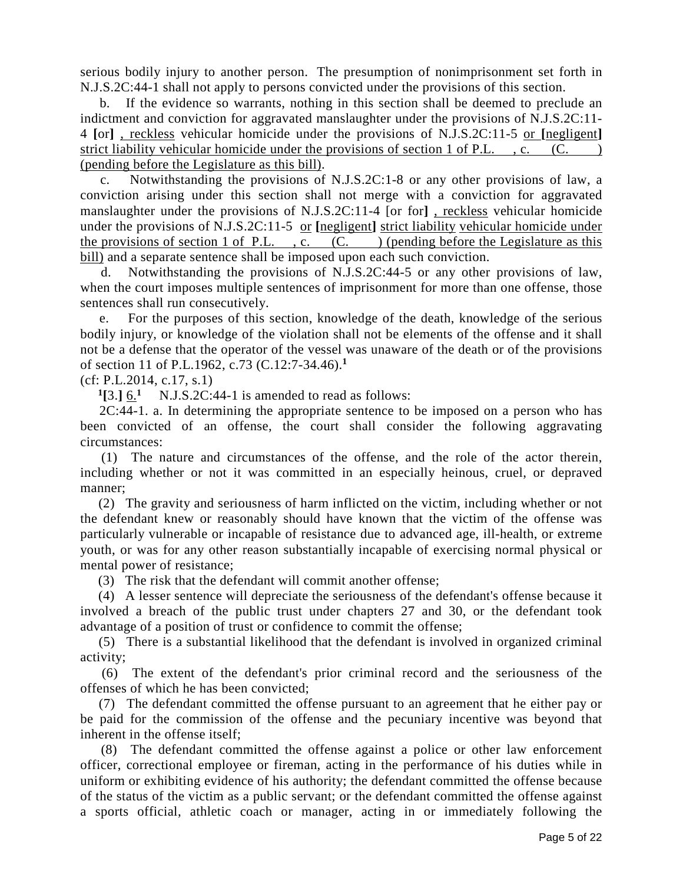serious bodily injury to another person. The presumption of nonimprisonment set forth in N.J.S.2C:44-1 shall not apply to persons convicted under the provisions of this section.

 b. If the evidence so warrants, nothing in this section shall be deemed to preclude an indictment and conviction for aggravated manslaughter under the provisions of N.J.S.2C:11- 4 **[**or**]** , reckless vehicular homicide under the provisions of N.J.S.2C:11-5 or **[**negligent**]**  strict liability vehicular homicide under the provisions of section 1 of P.L., c. (C.) (pending before the Legislature as this bill).

 c. Notwithstanding the provisions of N.J.S.2C:1-8 or any other provisions of law, a conviction arising under this section shall not merge with a conviction for aggravated manslaughter under the provisions of N.J.S.2C:11-4 [or for**]** , reckless vehicular homicide under the provisions of N.J.S.2C:11-5 or **[**negligent**]** strict liability vehicular homicide under the provisions of section 1 of P.L.  $\overline{c}$ .  $\overline{(C)}$  (pending before the Legislature as this bill) and a separate sentence shall be imposed upon each such conviction.

 d. Notwithstanding the provisions of N.J.S.2C:44-5 or any other provisions of law, when the court imposes multiple sentences of imprisonment for more than one offense, those sentences shall run consecutively.

 e. For the purposes of this section, knowledge of the death, knowledge of the serious bodily injury, or knowledge of the violation shall not be elements of the offense and it shall not be a defense that the operator of the vessel was unaware of the death or of the provisions of section 11 of P.L.1962, c.73 (C.12:7-34.46).**<sup>1</sup>**

(cf: P.L.2014, c.17, s.1)

 $\frac{1}{3}$ .] 6.<sup>1</sup> N.J.S.2C:44-1 is amended to read as follows:

 2C:44-1. a. In determining the appropriate sentence to be imposed on a person who has been convicted of an offense, the court shall consider the following aggravating circumstances:

 (1) The nature and circumstances of the offense, and the role of the actor therein, including whether or not it was committed in an especially heinous, cruel, or depraved manner;

 (2) The gravity and seriousness of harm inflicted on the victim, including whether or not the defendant knew or reasonably should have known that the victim of the offense was particularly vulnerable or incapable of resistance due to advanced age, ill-health, or extreme youth, or was for any other reason substantially incapable of exercising normal physical or mental power of resistance;

(3) The risk that the defendant will commit another offense;

 (4) A lesser sentence will depreciate the seriousness of the defendant's offense because it involved a breach of the public trust under chapters 27 and 30, or the defendant took advantage of a position of trust or confidence to commit the offense;

 (5) There is a substantial likelihood that the defendant is involved in organized criminal activity;

 (6) The extent of the defendant's prior criminal record and the seriousness of the offenses of which he has been convicted;

 (7) The defendant committed the offense pursuant to an agreement that he either pay or be paid for the commission of the offense and the pecuniary incentive was beyond that inherent in the offense itself;

 (8) The defendant committed the offense against a police or other law enforcement officer, correctional employee or fireman, acting in the performance of his duties while in uniform or exhibiting evidence of his authority; the defendant committed the offense because of the status of the victim as a public servant; or the defendant committed the offense against a sports official, athletic coach or manager, acting in or immediately following the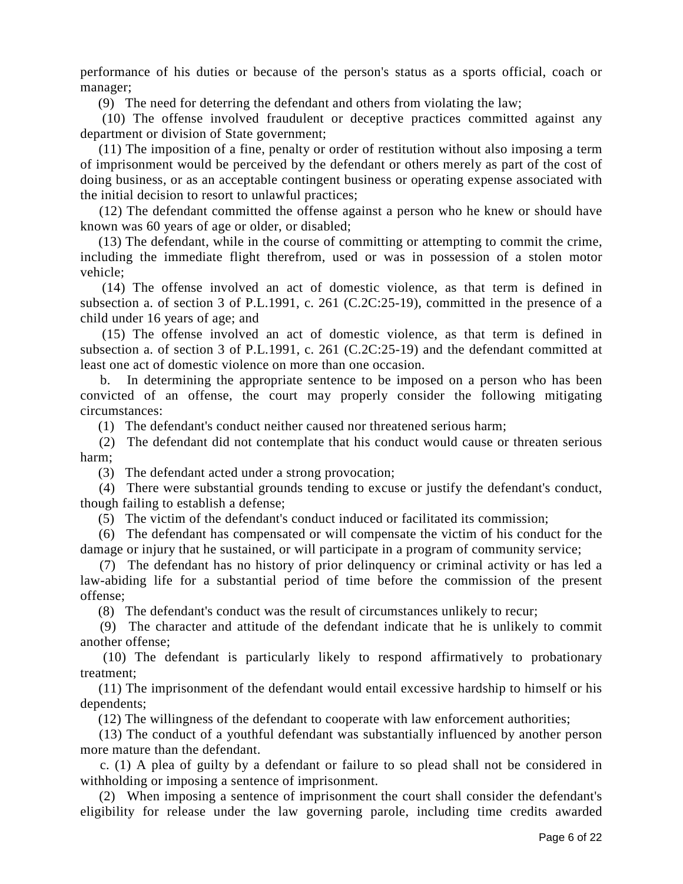performance of his duties or because of the person's status as a sports official, coach or manager;

(9) The need for deterring the defendant and others from violating the law;

 (10) The offense involved fraudulent or deceptive practices committed against any department or division of State government;

 (11) The imposition of a fine, penalty or order of restitution without also imposing a term of imprisonment would be perceived by the defendant or others merely as part of the cost of doing business, or as an acceptable contingent business or operating expense associated with the initial decision to resort to unlawful practices;

 (12) The defendant committed the offense against a person who he knew or should have known was 60 years of age or older, or disabled;

 (13) The defendant, while in the course of committing or attempting to commit the crime, including the immediate flight therefrom, used or was in possession of a stolen motor vehicle;

 (14) The offense involved an act of domestic violence, as that term is defined in subsection a. of section 3 of P.L.1991, c. 261 (C.2C:25-19), committed in the presence of a child under 16 years of age; and

 (15) The offense involved an act of domestic violence, as that term is defined in subsection a. of section 3 of P.L.1991, c. 261 (C.2C:25-19) and the defendant committed at least one act of domestic violence on more than one occasion.

 b. In determining the appropriate sentence to be imposed on a person who has been convicted of an offense, the court may properly consider the following mitigating circumstances:

(1) The defendant's conduct neither caused nor threatened serious harm;

 (2) The defendant did not contemplate that his conduct would cause or threaten serious harm;

(3) The defendant acted under a strong provocation;

 (4) There were substantial grounds tending to excuse or justify the defendant's conduct, though failing to establish a defense;

(5) The victim of the defendant's conduct induced or facilitated its commission;

 (6) The defendant has compensated or will compensate the victim of his conduct for the damage or injury that he sustained, or will participate in a program of community service;

 (7) The defendant has no history of prior delinquency or criminal activity or has led a law-abiding life for a substantial period of time before the commission of the present offense;

(8) The defendant's conduct was the result of circumstances unlikely to recur;

 (9) The character and attitude of the defendant indicate that he is unlikely to commit another offense;

 (10) The defendant is particularly likely to respond affirmatively to probationary treatment;

 (11) The imprisonment of the defendant would entail excessive hardship to himself or his dependents;

(12) The willingness of the defendant to cooperate with law enforcement authorities;

 (13) The conduct of a youthful defendant was substantially influenced by another person more mature than the defendant.

 c. (1) A plea of guilty by a defendant or failure to so plead shall not be considered in withholding or imposing a sentence of imprisonment.

 (2) When imposing a sentence of imprisonment the court shall consider the defendant's eligibility for release under the law governing parole, including time credits awarded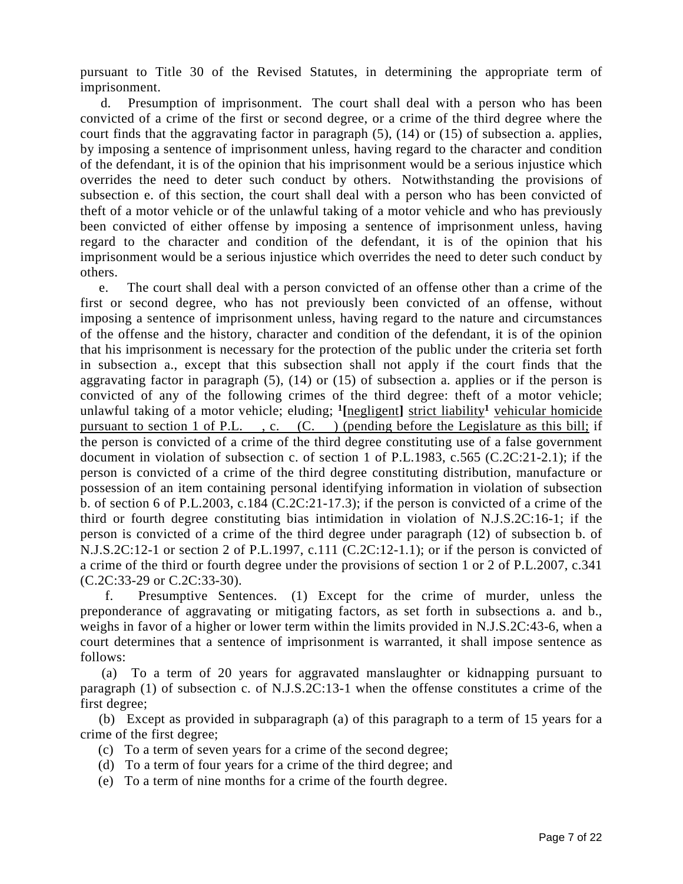pursuant to Title 30 of the Revised Statutes, in determining the appropriate term of imprisonment.

 d. Presumption of imprisonment. The court shall deal with a person who has been convicted of a crime of the first or second degree, or a crime of the third degree where the court finds that the aggravating factor in paragraph (5), (14) or (15) of subsection a. applies, by imposing a sentence of imprisonment unless, having regard to the character and condition of the defendant, it is of the opinion that his imprisonment would be a serious injustice which overrides the need to deter such conduct by others. Notwithstanding the provisions of subsection e. of this section, the court shall deal with a person who has been convicted of theft of a motor vehicle or of the unlawful taking of a motor vehicle and who has previously been convicted of either offense by imposing a sentence of imprisonment unless, having regard to the character and condition of the defendant, it is of the opinion that his imprisonment would be a serious injustice which overrides the need to deter such conduct by others.

 e. The court shall deal with a person convicted of an offense other than a crime of the first or second degree, who has not previously been convicted of an offense, without imposing a sentence of imprisonment unless, having regard to the nature and circumstances of the offense and the history, character and condition of the defendant, it is of the opinion that his imprisonment is necessary for the protection of the public under the criteria set forth in subsection a., except that this subsection shall not apply if the court finds that the aggravating factor in paragraph  $(5)$ ,  $(14)$  or  $(15)$  of subsection a. applies or if the person is convicted of any of the following crimes of the third degree: theft of a motor vehicle; unlawful taking of a motor vehicle; eluding; **1[**negligent**]** strict liability**<sup>1</sup>** vehicular homicide pursuant to section 1 of P.L. , c. (C. ) (pending before the Legislature as this bill; if the person is convicted of a crime of the third degree constituting use of a false government document in violation of subsection c. of section 1 of P.L.1983, c.565 (C.2C:21-2.1); if the person is convicted of a crime of the third degree constituting distribution, manufacture or possession of an item containing personal identifying information in violation of subsection b. of section 6 of P.L.2003, c.184 (C.2C:21-17.3); if the person is convicted of a crime of the third or fourth degree constituting bias intimidation in violation of N.J.S.2C:16-1; if the person is convicted of a crime of the third degree under paragraph (12) of subsection b. of N.J.S.2C:12-1 or section 2 of P.L.1997, c.111 (C.2C:12-1.1); or if the person is convicted of a crime of the third or fourth degree under the provisions of section 1 or 2 of P.L.2007, c.341 (C.2C:33-29 or C.2C:33-30).

 f. Presumptive Sentences. (1) Except for the crime of murder, unless the preponderance of aggravating or mitigating factors, as set forth in subsections a. and b., weighs in favor of a higher or lower term within the limits provided in N.J.S.2C:43-6, when a court determines that a sentence of imprisonment is warranted, it shall impose sentence as follows:

 (a) To a term of 20 years for aggravated manslaughter or kidnapping pursuant to paragraph (1) of subsection c. of N.J.S.2C:13-1 when the offense constitutes a crime of the first degree;

 (b) Except as provided in subparagraph (a) of this paragraph to a term of 15 years for a crime of the first degree;

- (c) To a term of seven years for a crime of the second degree;
- (d) To a term of four years for a crime of the third degree; and
- (e) To a term of nine months for a crime of the fourth degree.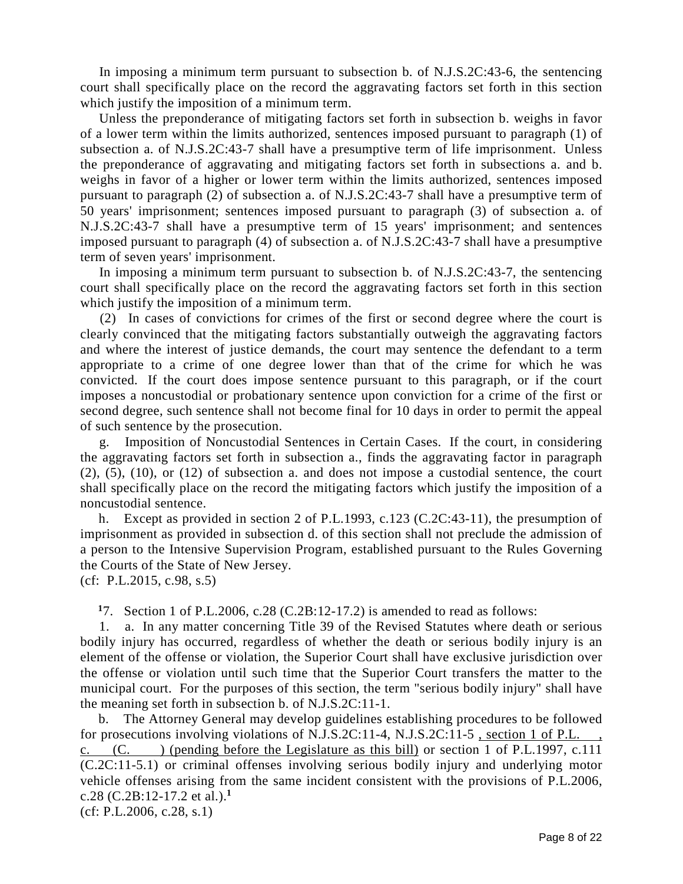In imposing a minimum term pursuant to subsection b. of N.J.S.2C:43-6, the sentencing court shall specifically place on the record the aggravating factors set forth in this section which justify the imposition of a minimum term.

 Unless the preponderance of mitigating factors set forth in subsection b. weighs in favor of a lower term within the limits authorized, sentences imposed pursuant to paragraph (1) of subsection a. of N.J.S.2C:43-7 shall have a presumptive term of life imprisonment. Unless the preponderance of aggravating and mitigating factors set forth in subsections a. and b. weighs in favor of a higher or lower term within the limits authorized, sentences imposed pursuant to paragraph (2) of subsection a. of N.J.S.2C:43-7 shall have a presumptive term of 50 years' imprisonment; sentences imposed pursuant to paragraph (3) of subsection a. of N.J.S.2C:43-7 shall have a presumptive term of 15 years' imprisonment; and sentences imposed pursuant to paragraph (4) of subsection a. of N.J.S.2C:43-7 shall have a presumptive term of seven years' imprisonment.

 In imposing a minimum term pursuant to subsection b. of N.J.S.2C:43-7, the sentencing court shall specifically place on the record the aggravating factors set forth in this section which justify the imposition of a minimum term.

 (2) In cases of convictions for crimes of the first or second degree where the court is clearly convinced that the mitigating factors substantially outweigh the aggravating factors and where the interest of justice demands, the court may sentence the defendant to a term appropriate to a crime of one degree lower than that of the crime for which he was convicted. If the court does impose sentence pursuant to this paragraph, or if the court imposes a noncustodial or probationary sentence upon conviction for a crime of the first or second degree, such sentence shall not become final for 10 days in order to permit the appeal of such sentence by the prosecution.

 g. Imposition of Noncustodial Sentences in Certain Cases. If the court, in considering the aggravating factors set forth in subsection a., finds the aggravating factor in paragraph  $(2)$ ,  $(5)$ ,  $(10)$ , or  $(12)$  of subsection a. and does not impose a custodial sentence, the court shall specifically place on the record the mitigating factors which justify the imposition of a noncustodial sentence.

 h. Except as provided in section 2 of P.L.1993, c.123 (C.2C:43-11), the presumption of imprisonment as provided in subsection d. of this section shall not preclude the admission of a person to the Intensive Supervision Program, established pursuant to the Rules Governing the Courts of the State of New Jersey.

(cf: P.L.2015, c.98, s.5)

**<sup>1</sup>**7. Section 1 of P.L.2006, c.28 (C.2B:12-17.2) is amended to read as follows:

 1. a. In any matter concerning Title 39 of the Revised Statutes where death or serious bodily injury has occurred, regardless of whether the death or serious bodily injury is an element of the offense or violation, the Superior Court shall have exclusive jurisdiction over the offense or violation until such time that the Superior Court transfers the matter to the municipal court. For the purposes of this section, the term "serious bodily injury" shall have the meaning set forth in subsection b. of N.J.S.2C:11-1.

 b. The Attorney General may develop guidelines establishing procedures to be followed for prosecutions involving violations of N.J.S.2C:11-4, N.J.S.2C:11-5, section 1 of P.L. c. (C. ) (pending before the Legislature as this bill) or section 1 of P.L.1997, c.111 (C.2C:11-5.1) or criminal offenses involving serious bodily injury and underlying motor vehicle offenses arising from the same incident consistent with the provisions of P.L.2006, c.28 (C.2B:12-17.2 et al.).**<sup>1</sup>** (cf: P.L.2006, c.28, s.1)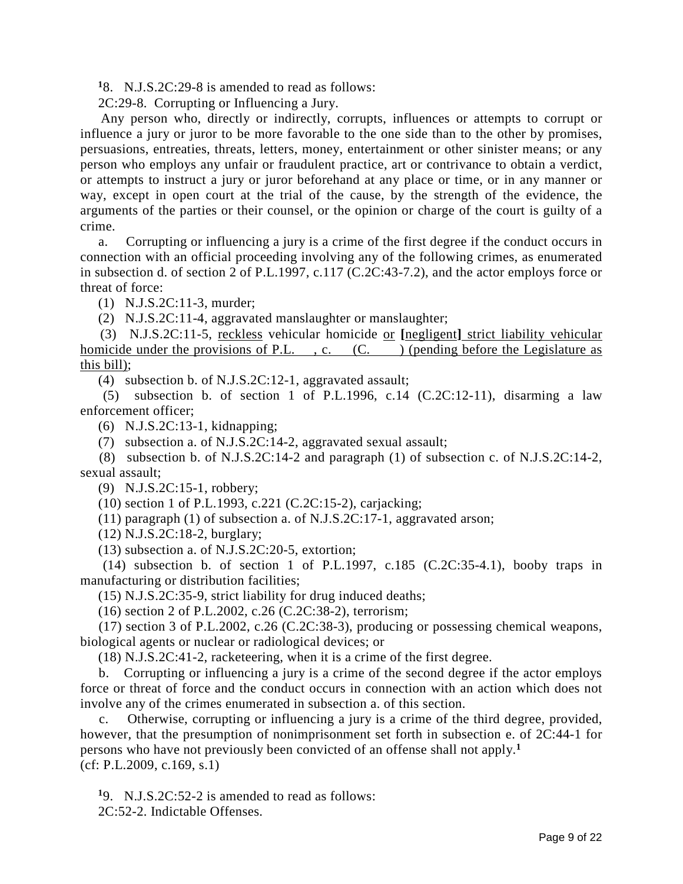**1**8. N.J.S.2C:29-8 is amended to read as follows:

2C:29-8. Corrupting or Influencing a Jury.

 Any person who, directly or indirectly, corrupts, influences or attempts to corrupt or influence a jury or juror to be more favorable to the one side than to the other by promises, persuasions, entreaties, threats, letters, money, entertainment or other sinister means; or any person who employs any unfair or fraudulent practice, art or contrivance to obtain a verdict, or attempts to instruct a jury or juror beforehand at any place or time, or in any manner or way, except in open court at the trial of the cause, by the strength of the evidence, the arguments of the parties or their counsel, or the opinion or charge of the court is guilty of a crime.

 a. Corrupting or influencing a jury is a crime of the first degree if the conduct occurs in connection with an official proceeding involving any of the following crimes, as enumerated in subsection d. of section 2 of P.L.1997, c.117 (C.2C:43-7.2), and the actor employs force or threat of force:

(1) N.J.S.2C:11-3, murder;

(2) N.J.S.2C:11-4, aggravated manslaughter or manslaughter;

 (3) N.J.S.2C:11-5, reckless vehicular homicide or **[**negligent**]** strict liability vehicular homicide under the provisions of P.L.  $\cdot$ , c.  $\cdot$  (C. ) (pending before the Legislature as this bill);

(4) subsection b. of N.J.S.2C:12-1, aggravated assault;

(5) subsection b. of section 1 of P.L.1996, c.14  $(C.2C:12-11)$ , disarming a law enforcement officer;

(6) N.J.S.2C:13-1, kidnapping;

(7) subsection a. of N.J.S.2C:14-2, aggravated sexual assault;

 (8) subsection b. of N.J.S.2C:14-2 and paragraph (1) of subsection c. of N.J.S.2C:14-2, sexual assault;

(9) N.J.S.2C:15-1, robbery;

(10) section 1 of P.L.1993, c.221 (C.2C:15-2), carjacking;

(11) paragraph (1) of subsection a. of N.J.S.2C:17-1, aggravated arson;

(12) N.J.S.2C:18-2, burglary;

(13) subsection a. of N.J.S.2C:20-5, extortion;

 (14) subsection b. of section 1 of P.L.1997, c.185 (C.2C:35-4.1), booby traps in manufacturing or distribution facilities;

(15) N.J.S.2C:35-9, strict liability for drug induced deaths;

(16) section 2 of P.L.2002, c.26 (C.2C:38-2), terrorism;

 (17) section 3 of P.L.2002, c.26 (C.2C:38-3), producing or possessing chemical weapons, biological agents or nuclear or radiological devices; or

(18) N.J.S.2C:41-2, racketeering, when it is a crime of the first degree.

 b. Corrupting or influencing a jury is a crime of the second degree if the actor employs force or threat of force and the conduct occurs in connection with an action which does not involve any of the crimes enumerated in subsection a. of this section.

Otherwise, corrupting or influencing a jury is a crime of the third degree, provided, however, that the presumption of nonimprisonment set forth in subsection e. of 2C:44-1 for persons who have not previously been convicted of an offense shall not apply.**<sup>1</sup>** (cf: P.L.2009, c.169, s.1)

 **1**9. N.J.S.2C:52-2 is amended to read as follows:

2C:52-2. Indictable Offenses.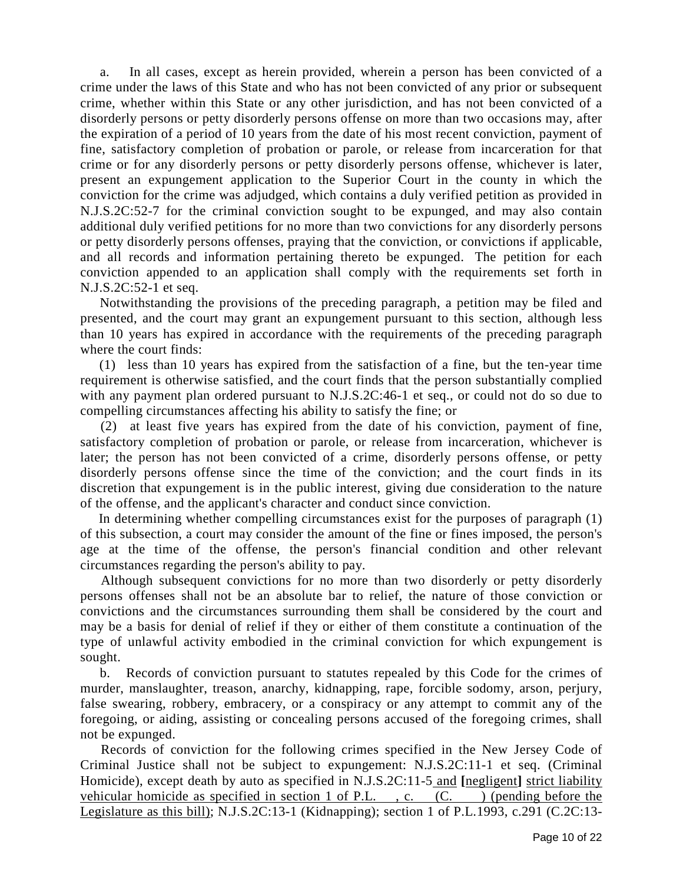a. In all cases, except as herein provided, wherein a person has been convicted of a crime under the laws of this State and who has not been convicted of any prior or subsequent crime, whether within this State or any other jurisdiction, and has not been convicted of a disorderly persons or petty disorderly persons offense on more than two occasions may, after the expiration of a period of 10 years from the date of his most recent conviction, payment of fine, satisfactory completion of probation or parole, or release from incarceration for that crime or for any disorderly persons or petty disorderly persons offense, whichever is later, present an expungement application to the Superior Court in the county in which the conviction for the crime was adjudged, which contains a duly verified petition as provided in N.J.S.2C:52-7 for the criminal conviction sought to be expunged, and may also contain additional duly verified petitions for no more than two convictions for any disorderly persons or petty disorderly persons offenses, praying that the conviction, or convictions if applicable, and all records and information pertaining thereto be expunged. The petition for each conviction appended to an application shall comply with the requirements set forth in N.J.S.2C:52-1 et seq.

 Notwithstanding the provisions of the preceding paragraph, a petition may be filed and presented, and the court may grant an expungement pursuant to this section, although less than 10 years has expired in accordance with the requirements of the preceding paragraph where the court finds:

 (1) less than 10 years has expired from the satisfaction of a fine, but the ten-year time requirement is otherwise satisfied, and the court finds that the person substantially complied with any payment plan ordered pursuant to N.J.S.2C:46-1 et seq., or could not do so due to compelling circumstances affecting his ability to satisfy the fine; or

 (2) at least five years has expired from the date of his conviction, payment of fine, satisfactory completion of probation or parole, or release from incarceration, whichever is later; the person has not been convicted of a crime, disorderly persons offense, or petty disorderly persons offense since the time of the conviction; and the court finds in its discretion that expungement is in the public interest, giving due consideration to the nature of the offense, and the applicant's character and conduct since conviction.

 In determining whether compelling circumstances exist for the purposes of paragraph (1) of this subsection, a court may consider the amount of the fine or fines imposed, the person's age at the time of the offense, the person's financial condition and other relevant circumstances regarding the person's ability to pay.

 Although subsequent convictions for no more than two disorderly or petty disorderly persons offenses shall not be an absolute bar to relief, the nature of those conviction or convictions and the circumstances surrounding them shall be considered by the court and may be a basis for denial of relief if they or either of them constitute a continuation of the type of unlawful activity embodied in the criminal conviction for which expungement is sought.

 b. Records of conviction pursuant to statutes repealed by this Code for the crimes of murder, manslaughter, treason, anarchy, kidnapping, rape, forcible sodomy, arson, perjury, false swearing, robbery, embracery, or a conspiracy or any attempt to commit any of the foregoing, or aiding, assisting or concealing persons accused of the foregoing crimes, shall not be expunged.

 Records of conviction for the following crimes specified in the New Jersey Code of Criminal Justice shall not be subject to expungement: N.J.S.2C:11-1 et seq. (Criminal Homicide), except death by auto as specified in N.J.S.2C:11-5 and **[**negligent**]** strict liability vehicular homicide as specified in section 1 of P.L., c.  $(C.$  (C. ) (pending before the Legislature as this bill); N.J.S.2C:13-1 (Kidnapping); section 1 of P.L.1993, c.291 (C.2C:13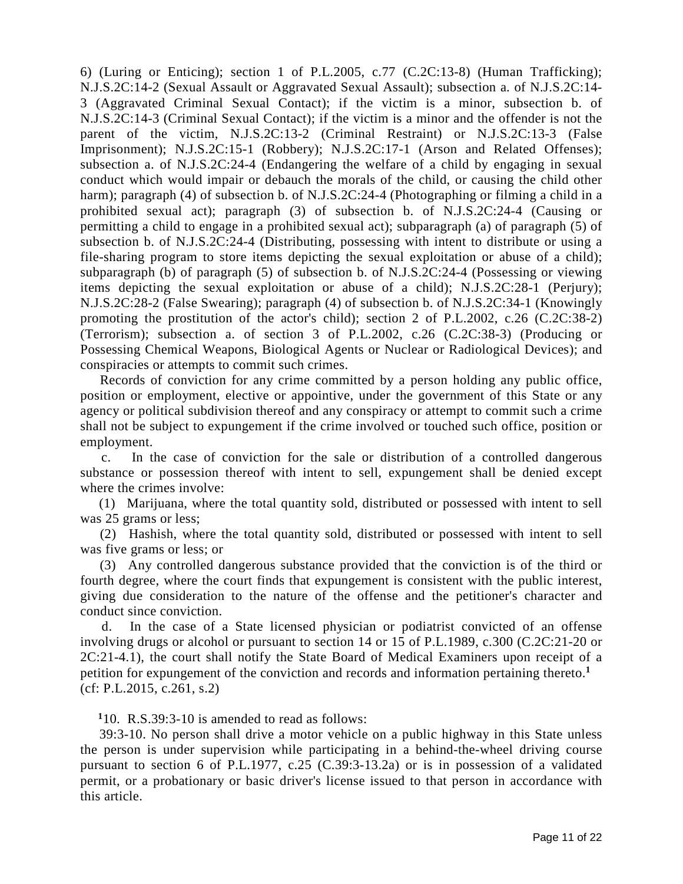6) (Luring or Enticing); section 1 of P.L.2005, c.77 (C.2C:13-8) (Human Trafficking); N.J.S.2C:14-2 (Sexual Assault or Aggravated Sexual Assault); subsection a. of N.J.S.2C:14- 3 (Aggravated Criminal Sexual Contact); if the victim is a minor, subsection b. of N.J.S.2C:14-3 (Criminal Sexual Contact); if the victim is a minor and the offender is not the parent of the victim, N.J.S.2C:13-2 (Criminal Restraint) or N.J.S.2C:13-3 (False Imprisonment); N.J.S.2C:15-1 (Robbery); N.J.S.2C:17-1 (Arson and Related Offenses); subsection a. of N.J.S.2C:24-4 (Endangering the welfare of a child by engaging in sexual conduct which would impair or debauch the morals of the child, or causing the child other harm); paragraph (4) of subsection b. of N.J.S.2C:24-4 (Photographing or filming a child in a prohibited sexual act); paragraph (3) of subsection b. of N.J.S.2C:24-4 (Causing or permitting a child to engage in a prohibited sexual act); subparagraph (a) of paragraph (5) of subsection b. of N.J.S.2C:24-4 (Distributing, possessing with intent to distribute or using a file-sharing program to store items depicting the sexual exploitation or abuse of a child); subparagraph (b) of paragraph (5) of subsection b. of N.J.S.2C:24-4 (Possessing or viewing items depicting the sexual exploitation or abuse of a child); N.J.S.2C:28-1 (Perjury); N.J.S.2C:28-2 (False Swearing); paragraph (4) of subsection b. of N.J.S.2C:34-1 (Knowingly promoting the prostitution of the actor's child); section 2 of P.L.2002, c.26 (C.2C:38-2) (Terrorism); subsection a. of section 3 of P.L.2002, c.26 (C.2C:38-3) (Producing or Possessing Chemical Weapons, Biological Agents or Nuclear or Radiological Devices); and conspiracies or attempts to commit such crimes.

 Records of conviction for any crime committed by a person holding any public office, position or employment, elective or appointive, under the government of this State or any agency or political subdivision thereof and any conspiracy or attempt to commit such a crime shall not be subject to expungement if the crime involved or touched such office, position or employment.

 c. In the case of conviction for the sale or distribution of a controlled dangerous substance or possession thereof with intent to sell, expungement shall be denied except where the crimes involve:

 (1) Marijuana, where the total quantity sold, distributed or possessed with intent to sell was 25 grams or less;

 (2) Hashish, where the total quantity sold, distributed or possessed with intent to sell was five grams or less; or

 (3) Any controlled dangerous substance provided that the conviction is of the third or fourth degree, where the court finds that expungement is consistent with the public interest, giving due consideration to the nature of the offense and the petitioner's character and conduct since conviction.

 d. In the case of a State licensed physician or podiatrist convicted of an offense involving drugs or alcohol or pursuant to section 14 or 15 of P.L.1989, c.300 (C.2C:21-20 or 2C:21-4.1), the court shall notify the State Board of Medical Examiners upon receipt of a petition for expungement of the conviction and records and information pertaining thereto.**<sup>1</sup>** (cf: P.L.2015, c.261, s.2)

 **1**10. R.S.39:3-10 is amended to read as follows:

 39:3-10. No person shall drive a motor vehicle on a public highway in this State unless the person is under supervision while participating in a behind-the-wheel driving course pursuant to section 6 of P.L.1977, c.25 (C.39:3-13.2a) or is in possession of a validated permit, or a probationary or basic driver's license issued to that person in accordance with this article.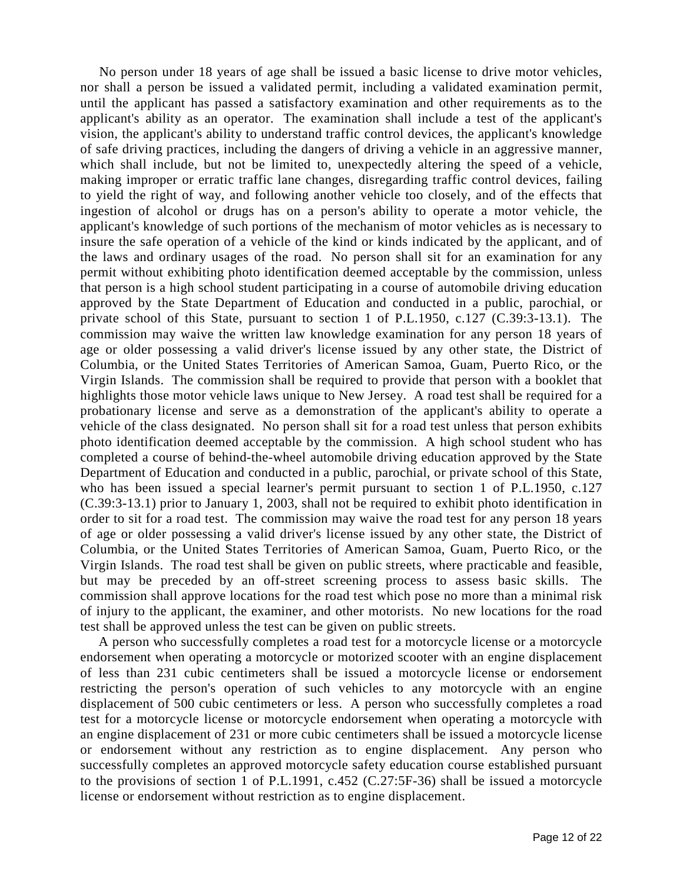No person under 18 years of age shall be issued a basic license to drive motor vehicles, nor shall a person be issued a validated permit, including a validated examination permit, until the applicant has passed a satisfactory examination and other requirements as to the applicant's ability as an operator. The examination shall include a test of the applicant's vision, the applicant's ability to understand traffic control devices, the applicant's knowledge of safe driving practices, including the dangers of driving a vehicle in an aggressive manner, which shall include, but not be limited to, unexpectedly altering the speed of a vehicle, making improper or erratic traffic lane changes, disregarding traffic control devices, failing to yield the right of way, and following another vehicle too closely, and of the effects that ingestion of alcohol or drugs has on a person's ability to operate a motor vehicle, the applicant's knowledge of such portions of the mechanism of motor vehicles as is necessary to insure the safe operation of a vehicle of the kind or kinds indicated by the applicant, and of the laws and ordinary usages of the road. No person shall sit for an examination for any permit without exhibiting photo identification deemed acceptable by the commission, unless that person is a high school student participating in a course of automobile driving education approved by the State Department of Education and conducted in a public, parochial, or private school of this State, pursuant to section 1 of P.L.1950, c.127 (C.39:3-13.1). The commission may waive the written law knowledge examination for any person 18 years of age or older possessing a valid driver's license issued by any other state, the District of Columbia, or the United States Territories of American Samoa, Guam, Puerto Rico, or the Virgin Islands. The commission shall be required to provide that person with a booklet that highlights those motor vehicle laws unique to New Jersey. A road test shall be required for a probationary license and serve as a demonstration of the applicant's ability to operate a vehicle of the class designated. No person shall sit for a road test unless that person exhibits photo identification deemed acceptable by the commission. A high school student who has completed a course of behind-the-wheel automobile driving education approved by the State Department of Education and conducted in a public, parochial, or private school of this State, who has been issued a special learner's permit pursuant to section 1 of P.L.1950, c.127 (C.39:3-13.1) prior to January 1, 2003, shall not be required to exhibit photo identification in order to sit for a road test. The commission may waive the road test for any person 18 years of age or older possessing a valid driver's license issued by any other state, the District of Columbia, or the United States Territories of American Samoa, Guam, Puerto Rico, or the Virgin Islands. The road test shall be given on public streets, where practicable and feasible, but may be preceded by an off-street screening process to assess basic skills. The commission shall approve locations for the road test which pose no more than a minimal risk of injury to the applicant, the examiner, and other motorists. No new locations for the road test shall be approved unless the test can be given on public streets.

 A person who successfully completes a road test for a motorcycle license or a motorcycle endorsement when operating a motorcycle or motorized scooter with an engine displacement of less than 231 cubic centimeters shall be issued a motorcycle license or endorsement restricting the person's operation of such vehicles to any motorcycle with an engine displacement of 500 cubic centimeters or less. A person who successfully completes a road test for a motorcycle license or motorcycle endorsement when operating a motorcycle with an engine displacement of 231 or more cubic centimeters shall be issued a motorcycle license or endorsement without any restriction as to engine displacement. Any person who successfully completes an approved motorcycle safety education course established pursuant to the provisions of section 1 of P.L.1991, c.452 (C.27:5F-36) shall be issued a motorcycle license or endorsement without restriction as to engine displacement.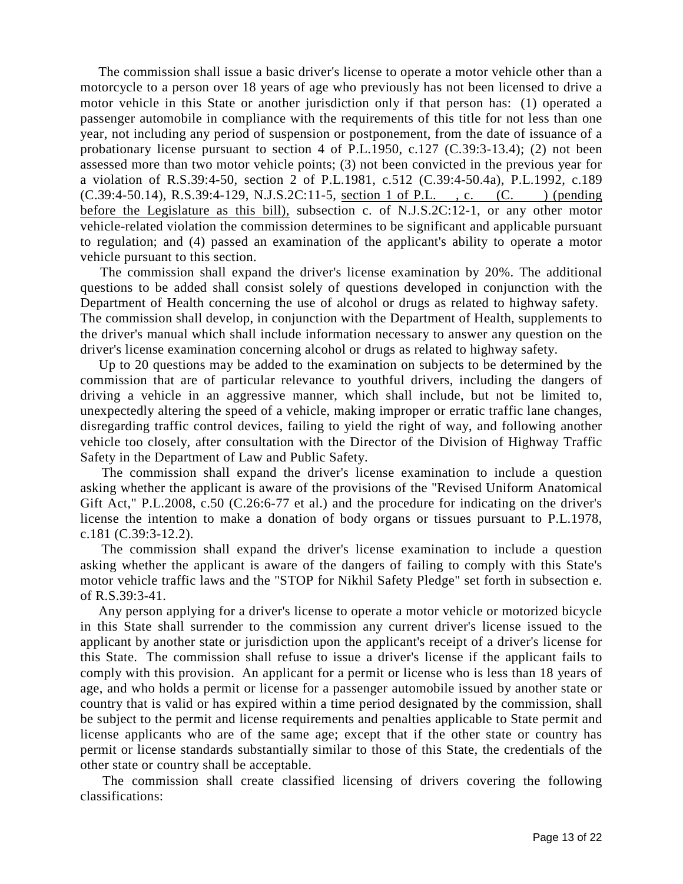The commission shall issue a basic driver's license to operate a motor vehicle other than a motorcycle to a person over 18 years of age who previously has not been licensed to drive a motor vehicle in this State or another jurisdiction only if that person has: (1) operated a passenger automobile in compliance with the requirements of this title for not less than one year, not including any period of suspension or postponement, from the date of issuance of a probationary license pursuant to section 4 of P.L.1950, c.127 (C.39:3-13.4); (2) not been assessed more than two motor vehicle points; (3) not been convicted in the previous year for a violation of R.S.39:4-50, section 2 of P.L.1981, c.512 (C.39:4-50.4a), P.L.1992, c.189  $(C.39:4-50.14)$ , R.S.39:4-129, N.J.S.2C:11-5, section 1 of P.L., c.  $(C.$  (pending before the Legislature as this bill), subsection c. of N.J.S.2C:12-1, or any other motor vehicle-related violation the commission determines to be significant and applicable pursuant to regulation; and (4) passed an examination of the applicant's ability to operate a motor vehicle pursuant to this section.

 The commission shall expand the driver's license examination by 20%. The additional questions to be added shall consist solely of questions developed in conjunction with the Department of Health concerning the use of alcohol or drugs as related to highway safety. The commission shall develop, in conjunction with the Department of Health, supplements to the driver's manual which shall include information necessary to answer any question on the driver's license examination concerning alcohol or drugs as related to highway safety.

 Up to 20 questions may be added to the examination on subjects to be determined by the commission that are of particular relevance to youthful drivers, including the dangers of driving a vehicle in an aggressive manner, which shall include, but not be limited to, unexpectedly altering the speed of a vehicle, making improper or erratic traffic lane changes, disregarding traffic control devices, failing to yield the right of way, and following another vehicle too closely, after consultation with the Director of the Division of Highway Traffic Safety in the Department of Law and Public Safety.

 The commission shall expand the driver's license examination to include a question asking whether the applicant is aware of the provisions of the "Revised Uniform Anatomical Gift Act," P.L.2008, c.50 (C.26:6-77 et al.) and the procedure for indicating on the driver's license the intention to make a donation of body organs or tissues pursuant to P.L.1978, c.181 (C.39:3-12.2).

 The commission shall expand the driver's license examination to include a question asking whether the applicant is aware of the dangers of failing to comply with this State's motor vehicle traffic laws and the "STOP for Nikhil Safety Pledge" set forth in subsection e. of R.S.39:3-41.

 Any person applying for a driver's license to operate a motor vehicle or motorized bicycle in this State shall surrender to the commission any current driver's license issued to the applicant by another state or jurisdiction upon the applicant's receipt of a driver's license for this State. The commission shall refuse to issue a driver's license if the applicant fails to comply with this provision. An applicant for a permit or license who is less than 18 years of age, and who holds a permit or license for a passenger automobile issued by another state or country that is valid or has expired within a time period designated by the commission, shall be subject to the permit and license requirements and penalties applicable to State permit and license applicants who are of the same age; except that if the other state or country has permit or license standards substantially similar to those of this State, the credentials of the other state or country shall be acceptable.

 The commission shall create classified licensing of drivers covering the following classifications: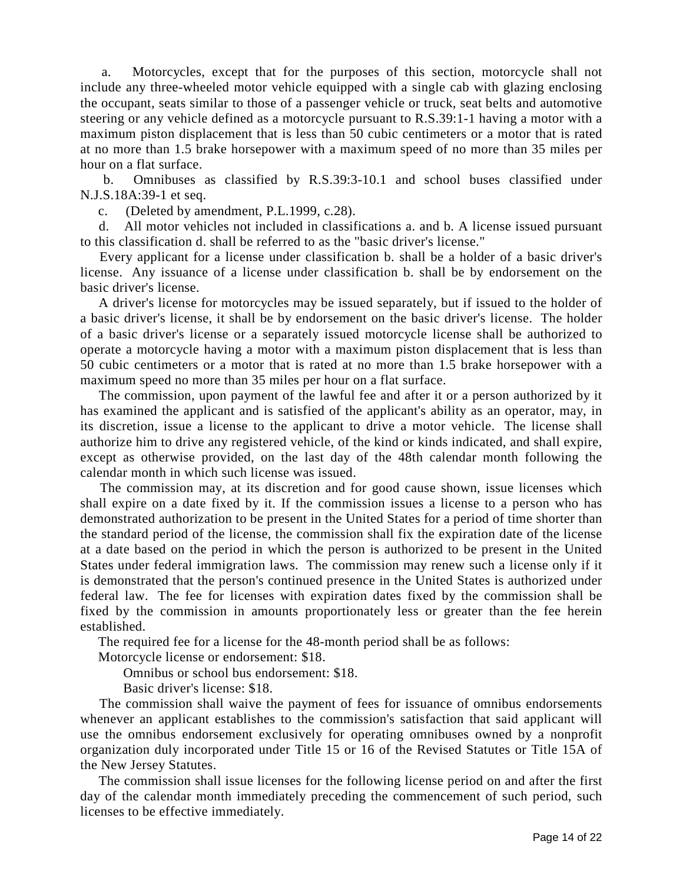a. Motorcycles, except that for the purposes of this section, motorcycle shall not include any three-wheeled motor vehicle equipped with a single cab with glazing enclosing the occupant, seats similar to those of a passenger vehicle or truck, seat belts and automotive steering or any vehicle defined as a motorcycle pursuant to R.S.39:1-1 having a motor with a maximum piston displacement that is less than 50 cubic centimeters or a motor that is rated at no more than 1.5 brake horsepower with a maximum speed of no more than 35 miles per hour on a flat surface.

 b. Omnibuses as classified by R.S.39:3-10.1 and school buses classified under N.J.S.18A:39-1 et seq.

c. (Deleted by amendment, P.L.1999, c.28).

 d. All motor vehicles not included in classifications a. and b. A license issued pursuant to this classification d. shall be referred to as the "basic driver's license."

 Every applicant for a license under classification b. shall be a holder of a basic driver's license. Any issuance of a license under classification b. shall be by endorsement on the basic driver's license.

 A driver's license for motorcycles may be issued separately, but if issued to the holder of a basic driver's license, it shall be by endorsement on the basic driver's license. The holder of a basic driver's license or a separately issued motorcycle license shall be authorized to operate a motorcycle having a motor with a maximum piston displacement that is less than 50 cubic centimeters or a motor that is rated at no more than 1.5 brake horsepower with a maximum speed no more than 35 miles per hour on a flat surface.

 The commission, upon payment of the lawful fee and after it or a person authorized by it has examined the applicant and is satisfied of the applicant's ability as an operator, may, in its discretion, issue a license to the applicant to drive a motor vehicle. The license shall authorize him to drive any registered vehicle, of the kind or kinds indicated, and shall expire, except as otherwise provided, on the last day of the 48th calendar month following the calendar month in which such license was issued.

 The commission may, at its discretion and for good cause shown, issue licenses which shall expire on a date fixed by it. If the commission issues a license to a person who has demonstrated authorization to be present in the United States for a period of time shorter than the standard period of the license, the commission shall fix the expiration date of the license at a date based on the period in which the person is authorized to be present in the United States under federal immigration laws. The commission may renew such a license only if it is demonstrated that the person's continued presence in the United States is authorized under federal law. The fee for licenses with expiration dates fixed by the commission shall be fixed by the commission in amounts proportionately less or greater than the fee herein established.

The required fee for a license for the 48-month period shall be as follows:

Motorcycle license or endorsement: \$18.

Omnibus or school bus endorsement: \$18.

Basic driver's license: \$18.

 The commission shall waive the payment of fees for issuance of omnibus endorsements whenever an applicant establishes to the commission's satisfaction that said applicant will use the omnibus endorsement exclusively for operating omnibuses owned by a nonprofit organization duly incorporated under Title 15 or 16 of the Revised Statutes or Title 15A of the New Jersey Statutes.

 The commission shall issue licenses for the following license period on and after the first day of the calendar month immediately preceding the commencement of such period, such licenses to be effective immediately.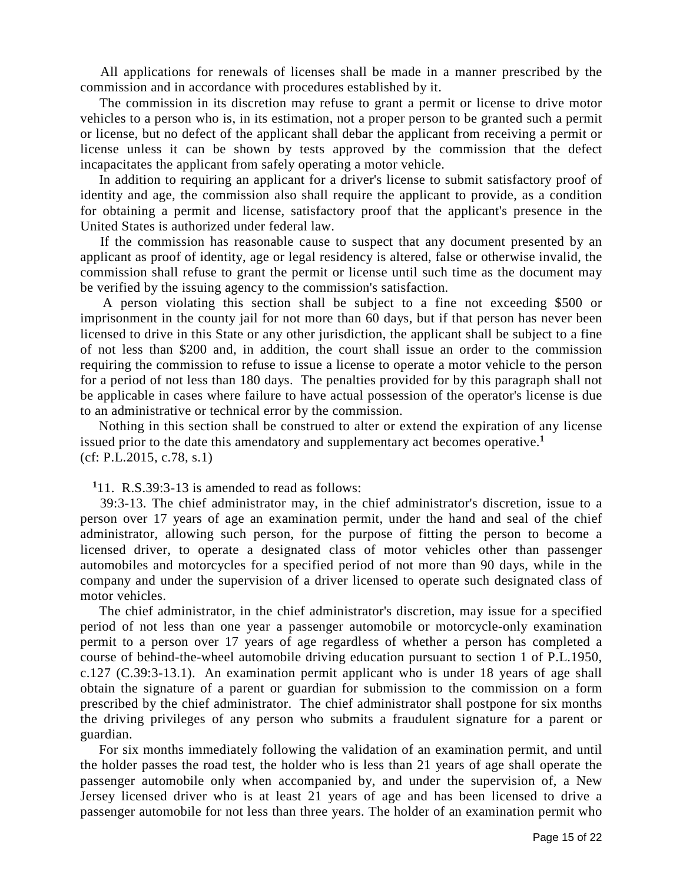All applications for renewals of licenses shall be made in a manner prescribed by the commission and in accordance with procedures established by it.

 The commission in its discretion may refuse to grant a permit or license to drive motor vehicles to a person who is, in its estimation, not a proper person to be granted such a permit or license, but no defect of the applicant shall debar the applicant from receiving a permit or license unless it can be shown by tests approved by the commission that the defect incapacitates the applicant from safely operating a motor vehicle.

 In addition to requiring an applicant for a driver's license to submit satisfactory proof of identity and age, the commission also shall require the applicant to provide, as a condition for obtaining a permit and license, satisfactory proof that the applicant's presence in the United States is authorized under federal law.

 If the commission has reasonable cause to suspect that any document presented by an applicant as proof of identity, age or legal residency is altered, false or otherwise invalid, the commission shall refuse to grant the permit or license until such time as the document may be verified by the issuing agency to the commission's satisfaction.

 A person violating this section shall be subject to a fine not exceeding \$500 or imprisonment in the county jail for not more than 60 days, but if that person has never been licensed to drive in this State or any other jurisdiction, the applicant shall be subject to a fine of not less than \$200 and, in addition, the court shall issue an order to the commission requiring the commission to refuse to issue a license to operate a motor vehicle to the person for a period of not less than 180 days. The penalties provided for by this paragraph shall not be applicable in cases where failure to have actual possession of the operator's license is due to an administrative or technical error by the commission.

 Nothing in this section shall be construed to alter or extend the expiration of any license issued prior to the date this amendatory and supplementary act becomes operative.**<sup>1</sup>** (cf: P.L.2015, c.78, s.1)

**<sup>1</sup>**11. R.S.39:3-13 is amended to read as follows:

 39:3-13. The chief administrator may, in the chief administrator's discretion, issue to a person over 17 years of age an examination permit, under the hand and seal of the chief administrator, allowing such person, for the purpose of fitting the person to become a licensed driver, to operate a designated class of motor vehicles other than passenger automobiles and motorcycles for a specified period of not more than 90 days, while in the company and under the supervision of a driver licensed to operate such designated class of motor vehicles.

 The chief administrator, in the chief administrator's discretion, may issue for a specified period of not less than one year a passenger automobile or motorcycle-only examination permit to a person over 17 years of age regardless of whether a person has completed a course of behind-the-wheel automobile driving education pursuant to section 1 of P.L.1950, c.127 (C.39:3-13.1). An examination permit applicant who is under 18 years of age shall obtain the signature of a parent or guardian for submission to the commission on a form prescribed by the chief administrator. The chief administrator shall postpone for six months the driving privileges of any person who submits a fraudulent signature for a parent or guardian.

 For six months immediately following the validation of an examination permit, and until the holder passes the road test, the holder who is less than 21 years of age shall operate the passenger automobile only when accompanied by, and under the supervision of, a New Jersey licensed driver who is at least 21 years of age and has been licensed to drive a passenger automobile for not less than three years. The holder of an examination permit who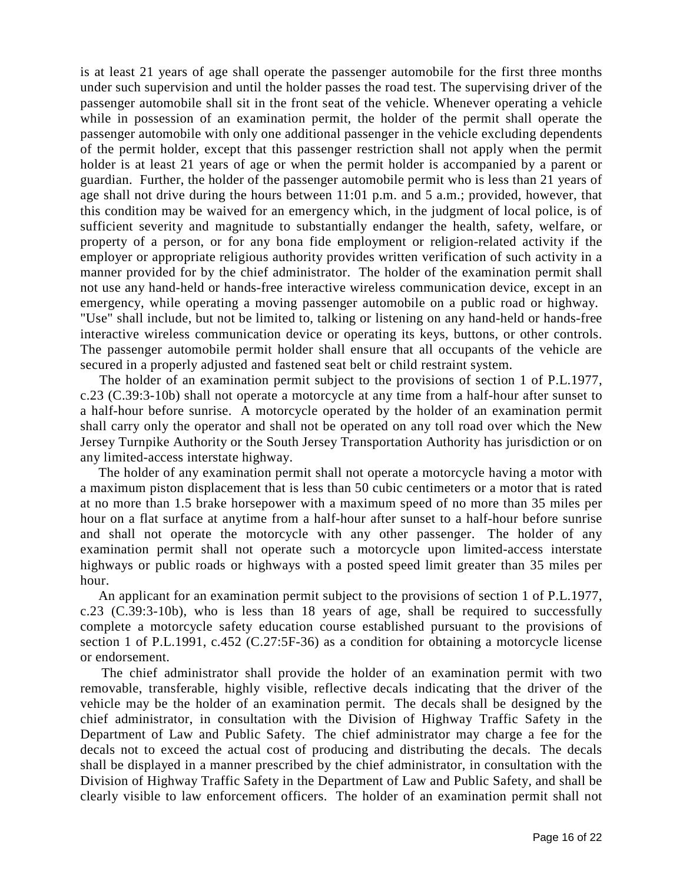is at least 21 years of age shall operate the passenger automobile for the first three months under such supervision and until the holder passes the road test. The supervising driver of the passenger automobile shall sit in the front seat of the vehicle. Whenever operating a vehicle while in possession of an examination permit, the holder of the permit shall operate the passenger automobile with only one additional passenger in the vehicle excluding dependents of the permit holder, except that this passenger restriction shall not apply when the permit holder is at least 21 years of age or when the permit holder is accompanied by a parent or guardian. Further, the holder of the passenger automobile permit who is less than 21 years of age shall not drive during the hours between 11:01 p.m. and 5 a.m.; provided, however, that this condition may be waived for an emergency which, in the judgment of local police, is of sufficient severity and magnitude to substantially endanger the health, safety, welfare, or property of a person, or for any bona fide employment or religion-related activity if the employer or appropriate religious authority provides written verification of such activity in a manner provided for by the chief administrator. The holder of the examination permit shall not use any hand-held or hands-free interactive wireless communication device, except in an emergency, while operating a moving passenger automobile on a public road or highway. "Use" shall include, but not be limited to, talking or listening on any hand-held or hands-free interactive wireless communication device or operating its keys, buttons, or other controls. The passenger automobile permit holder shall ensure that all occupants of the vehicle are secured in a properly adjusted and fastened seat belt or child restraint system.

 The holder of an examination permit subject to the provisions of section 1 of P.L.1977, c.23 (C.39:3-10b) shall not operate a motorcycle at any time from a half-hour after sunset to a half-hour before sunrise. A motorcycle operated by the holder of an examination permit shall carry only the operator and shall not be operated on any toll road over which the New Jersey Turnpike Authority or the South Jersey Transportation Authority has jurisdiction or on any limited-access interstate highway.

 The holder of any examination permit shall not operate a motorcycle having a motor with a maximum piston displacement that is less than 50 cubic centimeters or a motor that is rated at no more than 1.5 brake horsepower with a maximum speed of no more than 35 miles per hour on a flat surface at anytime from a half-hour after sunset to a half-hour before sunrise and shall not operate the motorcycle with any other passenger. The holder of any examination permit shall not operate such a motorcycle upon limited-access interstate highways or public roads or highways with a posted speed limit greater than 35 miles per hour.

 An applicant for an examination permit subject to the provisions of section 1 of P.L.1977, c.23 (C.39:3-10b), who is less than 18 years of age, shall be required to successfully complete a motorcycle safety education course established pursuant to the provisions of section 1 of P.L.1991, c.452 (C.27:5F-36) as a condition for obtaining a motorcycle license or endorsement.

 The chief administrator shall provide the holder of an examination permit with two removable, transferable, highly visible, reflective decals indicating that the driver of the vehicle may be the holder of an examination permit. The decals shall be designed by the chief administrator, in consultation with the Division of Highway Traffic Safety in the Department of Law and Public Safety. The chief administrator may charge a fee for the decals not to exceed the actual cost of producing and distributing the decals. The decals shall be displayed in a manner prescribed by the chief administrator, in consultation with the Division of Highway Traffic Safety in the Department of Law and Public Safety, and shall be clearly visible to law enforcement officers. The holder of an examination permit shall not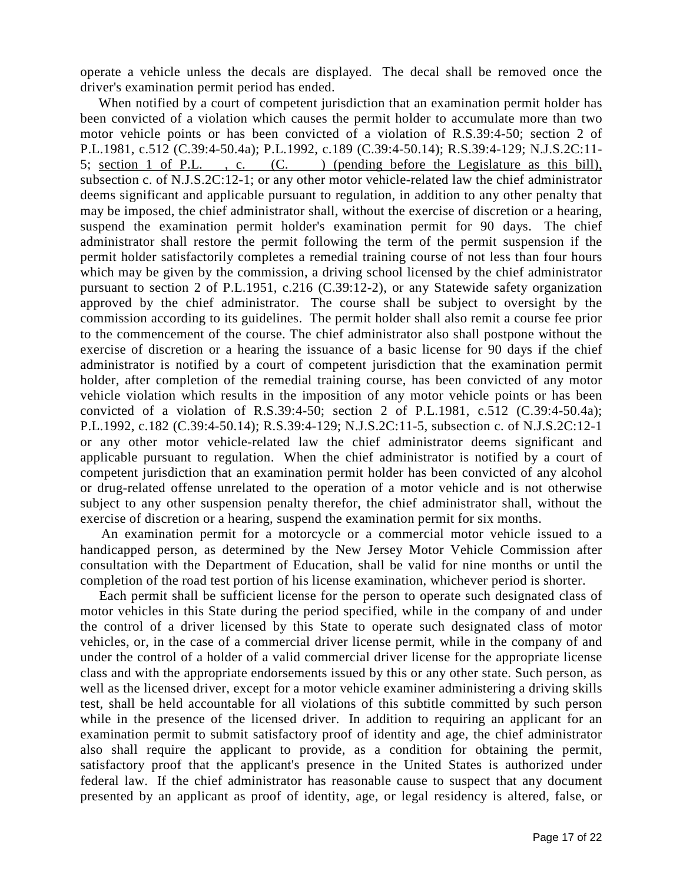operate a vehicle unless the decals are displayed. The decal shall be removed once the driver's examination permit period has ended.

 When notified by a court of competent jurisdiction that an examination permit holder has been convicted of a violation which causes the permit holder to accumulate more than two motor vehicle points or has been convicted of a violation of R.S.39:4-50; section 2 of P.L.1981, c.512 (C.39:4-50.4a); P.L.1992, c.189 (C.39:4-50.14); R.S.39:4-129; N.J.S.2C:11- 5; section 1 of P.L., c. (C.) (pending before the Legislature as this bill), subsection c. of N.J.S.2C:12-1; or any other motor vehicle-related law the chief administrator deems significant and applicable pursuant to regulation, in addition to any other penalty that may be imposed, the chief administrator shall, without the exercise of discretion or a hearing, suspend the examination permit holder's examination permit for 90 days. The chief administrator shall restore the permit following the term of the permit suspension if the permit holder satisfactorily completes a remedial training course of not less than four hours which may be given by the commission, a driving school licensed by the chief administrator pursuant to section 2 of P.L.1951, c.216 (C.39:12-2), or any Statewide safety organization approved by the chief administrator. The course shall be subject to oversight by the commission according to its guidelines. The permit holder shall also remit a course fee prior to the commencement of the course. The chief administrator also shall postpone without the exercise of discretion or a hearing the issuance of a basic license for 90 days if the chief administrator is notified by a court of competent jurisdiction that the examination permit holder, after completion of the remedial training course, has been convicted of any motor vehicle violation which results in the imposition of any motor vehicle points or has been convicted of a violation of R.S.39:4-50; section 2 of P.L.1981, c.512 (C.39:4-50.4a); P.L.1992, c.182 (C.39:4-50.14); R.S.39:4-129; N.J.S.2C:11-5, subsection c. of N.J.S.2C:12-1 or any other motor vehicle-related law the chief administrator deems significant and applicable pursuant to regulation. When the chief administrator is notified by a court of competent jurisdiction that an examination permit holder has been convicted of any alcohol or drug-related offense unrelated to the operation of a motor vehicle and is not otherwise subject to any other suspension penalty therefor, the chief administrator shall, without the exercise of discretion or a hearing, suspend the examination permit for six months.

 An examination permit for a motorcycle or a commercial motor vehicle issued to a handicapped person, as determined by the New Jersey Motor Vehicle Commission after consultation with the Department of Education, shall be valid for nine months or until the completion of the road test portion of his license examination, whichever period is shorter.

 Each permit shall be sufficient license for the person to operate such designated class of motor vehicles in this State during the period specified, while in the company of and under the control of a driver licensed by this State to operate such designated class of motor vehicles, or, in the case of a commercial driver license permit, while in the company of and under the control of a holder of a valid commercial driver license for the appropriate license class and with the appropriate endorsements issued by this or any other state. Such person, as well as the licensed driver, except for a motor vehicle examiner administering a driving skills test, shall be held accountable for all violations of this subtitle committed by such person while in the presence of the licensed driver. In addition to requiring an applicant for an examination permit to submit satisfactory proof of identity and age, the chief administrator also shall require the applicant to provide, as a condition for obtaining the permit, satisfactory proof that the applicant's presence in the United States is authorized under federal law. If the chief administrator has reasonable cause to suspect that any document presented by an applicant as proof of identity, age, or legal residency is altered, false, or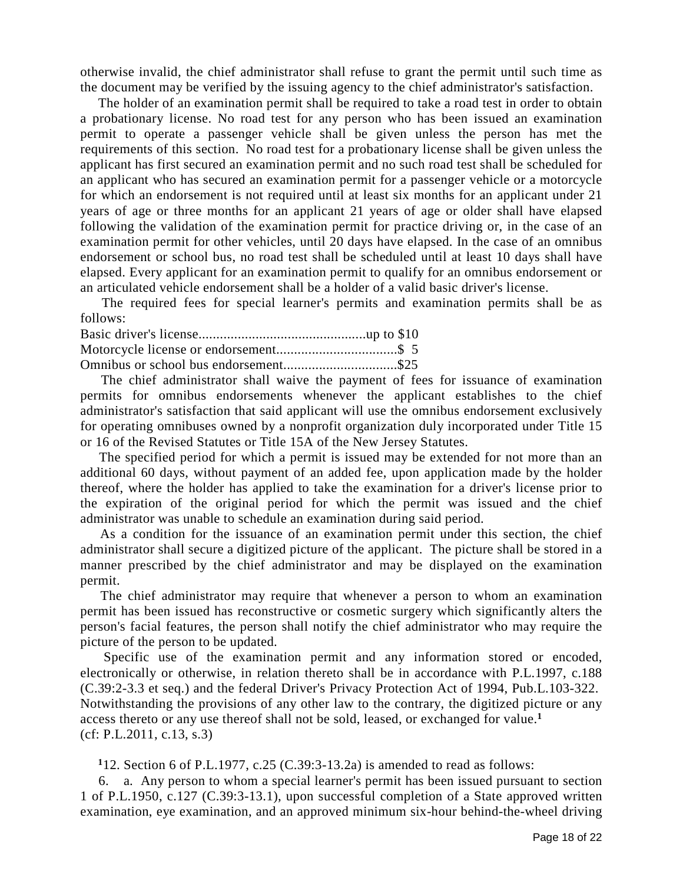otherwise invalid, the chief administrator shall refuse to grant the permit until such time as the document may be verified by the issuing agency to the chief administrator's satisfaction.

 The holder of an examination permit shall be required to take a road test in order to obtain a probationary license. No road test for any person who has been issued an examination permit to operate a passenger vehicle shall be given unless the person has met the requirements of this section. No road test for a probationary license shall be given unless the applicant has first secured an examination permit and no such road test shall be scheduled for an applicant who has secured an examination permit for a passenger vehicle or a motorcycle for which an endorsement is not required until at least six months for an applicant under 21 years of age or three months for an applicant 21 years of age or older shall have elapsed following the validation of the examination permit for practice driving or, in the case of an examination permit for other vehicles, until 20 days have elapsed. In the case of an omnibus endorsement or school bus, no road test shall be scheduled until at least 10 days shall have elapsed. Every applicant for an examination permit to qualify for an omnibus endorsement or an articulated vehicle endorsement shall be a holder of a valid basic driver's license.

 The required fees for special learner's permits and examination permits shall be as follows:

 The chief administrator shall waive the payment of fees for issuance of examination permits for omnibus endorsements whenever the applicant establishes to the chief administrator's satisfaction that said applicant will use the omnibus endorsement exclusively for operating omnibuses owned by a nonprofit organization duly incorporated under Title 15 or 16 of the Revised Statutes or Title 15A of the New Jersey Statutes.

 The specified period for which a permit is issued may be extended for not more than an additional 60 days, without payment of an added fee, upon application made by the holder thereof, where the holder has applied to take the examination for a driver's license prior to the expiration of the original period for which the permit was issued and the chief administrator was unable to schedule an examination during said period.

 As a condition for the issuance of an examination permit under this section, the chief administrator shall secure a digitized picture of the applicant. The picture shall be stored in a manner prescribed by the chief administrator and may be displayed on the examination permit.

 The chief administrator may require that whenever a person to whom an examination permit has been issued has reconstructive or cosmetic surgery which significantly alters the person's facial features, the person shall notify the chief administrator who may require the picture of the person to be updated.

 Specific use of the examination permit and any information stored or encoded, electronically or otherwise, in relation thereto shall be in accordance with P.L.1997, c.188 (C.39:2-3.3 et seq.) and the federal Driver's Privacy Protection Act of 1994, Pub.L.103-322. Notwithstanding the provisions of any other law to the contrary, the digitized picture or any access thereto or any use thereof shall not be sold, leased, or exchanged for value.**<sup>1</sup>** (cf: P.L.2011, c.13, s.3)

**<sup>1</sup>**12. Section 6 of P.L.1977, c.25 (C.39:3-13.2a) is amended to read as follows:

 6. a. Any person to whom a special learner's permit has been issued pursuant to section 1 of P.L.1950, c.127 (C.39:3-13.1), upon successful completion of a State approved written examination, eye examination, and an approved minimum six-hour behind-the-wheel driving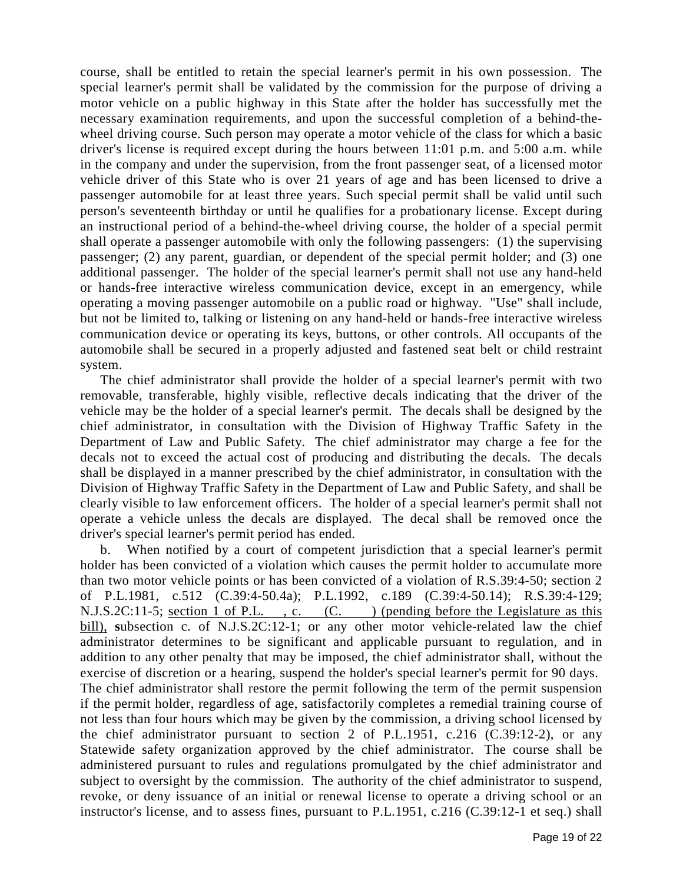course, shall be entitled to retain the special learner's permit in his own possession. The special learner's permit shall be validated by the commission for the purpose of driving a motor vehicle on a public highway in this State after the holder has successfully met the necessary examination requirements, and upon the successful completion of a behind-thewheel driving course. Such person may operate a motor vehicle of the class for which a basic driver's license is required except during the hours between 11:01 p.m. and 5:00 a.m. while in the company and under the supervision, from the front passenger seat, of a licensed motor vehicle driver of this State who is over 21 years of age and has been licensed to drive a passenger automobile for at least three years. Such special permit shall be valid until such person's seventeenth birthday or until he qualifies for a probationary license. Except during an instructional period of a behind-the-wheel driving course, the holder of a special permit shall operate a passenger automobile with only the following passengers: (1) the supervising passenger; (2) any parent, guardian, or dependent of the special permit holder; and (3) one additional passenger. The holder of the special learner's permit shall not use any hand-held or hands-free interactive wireless communication device, except in an emergency, while operating a moving passenger automobile on a public road or highway. "Use" shall include, but not be limited to, talking or listening on any hand-held or hands-free interactive wireless communication device or operating its keys, buttons, or other controls. All occupants of the automobile shall be secured in a properly adjusted and fastened seat belt or child restraint system.

 The chief administrator shall provide the holder of a special learner's permit with two removable, transferable, highly visible, reflective decals indicating that the driver of the vehicle may be the holder of a special learner's permit. The decals shall be designed by the chief administrator, in consultation with the Division of Highway Traffic Safety in the Department of Law and Public Safety. The chief administrator may charge a fee for the decals not to exceed the actual cost of producing and distributing the decals. The decals shall be displayed in a manner prescribed by the chief administrator, in consultation with the Division of Highway Traffic Safety in the Department of Law and Public Safety, and shall be clearly visible to law enforcement officers. The holder of a special learner's permit shall not operate a vehicle unless the decals are displayed. The decal shall be removed once the driver's special learner's permit period has ended.

 b. When notified by a court of competent jurisdiction that a special learner's permit holder has been convicted of a violation which causes the permit holder to accumulate more than two motor vehicle points or has been convicted of a violation of R.S.39:4-50; section 2 of P.L.1981, c.512 (C.39:4-50.4a); P.L.1992, c.189 (C.39:4-50.14); R.S.39:4-129; N.J.S.2C:11-5; section 1 of P.L. , c. (C. ) (pending before the Legislature as this bill), subsection c. of N.J.S.2C:12-1; or any other motor vehicle-related law the chief administrator determines to be significant and applicable pursuant to regulation, and in addition to any other penalty that may be imposed, the chief administrator shall, without the exercise of discretion or a hearing, suspend the holder's special learner's permit for 90 days. The chief administrator shall restore the permit following the term of the permit suspension if the permit holder, regardless of age, satisfactorily completes a remedial training course of not less than four hours which may be given by the commission, a driving school licensed by the chief administrator pursuant to section 2 of P.L.1951, c.216 (C.39:12-2), or any Statewide safety organization approved by the chief administrator. The course shall be administered pursuant to rules and regulations promulgated by the chief administrator and subject to oversight by the commission. The authority of the chief administrator to suspend, revoke, or deny issuance of an initial or renewal license to operate a driving school or an instructor's license, and to assess fines, pursuant to P.L.1951, c.216 (C.39:12-1 et seq.) shall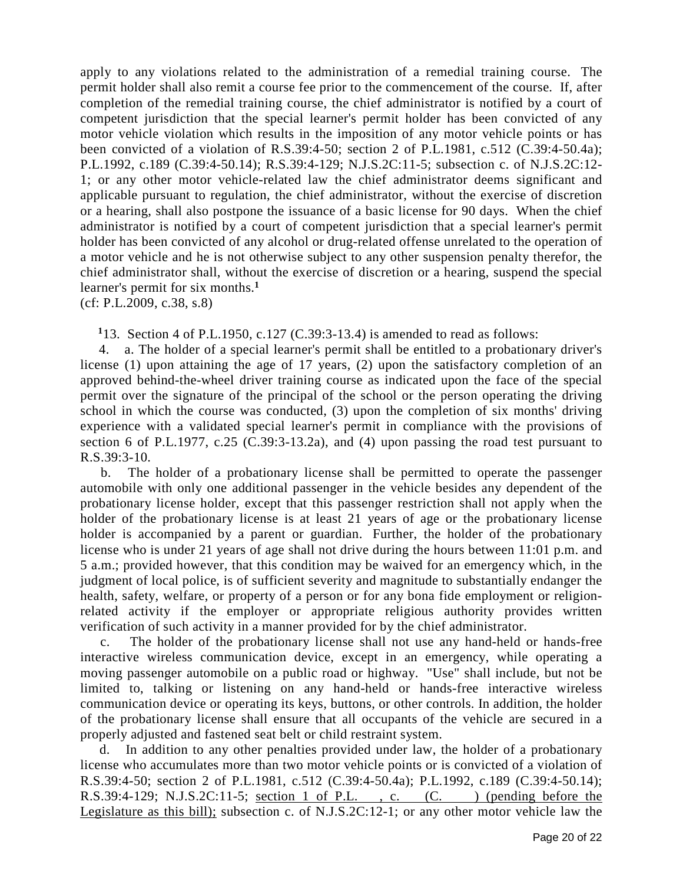apply to any violations related to the administration of a remedial training course. The permit holder shall also remit a course fee prior to the commencement of the course. If, after completion of the remedial training course, the chief administrator is notified by a court of competent jurisdiction that the special learner's permit holder has been convicted of any motor vehicle violation which results in the imposition of any motor vehicle points or has been convicted of a violation of R.S.39:4-50; section 2 of P.L.1981, c.512 (C.39:4-50.4a); P.L.1992, c.189 (C.39:4-50.14); R.S.39:4-129; N.J.S.2C:11-5; subsection c. of N.J.S.2C:12- 1; or any other motor vehicle-related law the chief administrator deems significant and applicable pursuant to regulation, the chief administrator, without the exercise of discretion or a hearing, shall also postpone the issuance of a basic license for 90 days. When the chief administrator is notified by a court of competent jurisdiction that a special learner's permit holder has been convicted of any alcohol or drug-related offense unrelated to the operation of a motor vehicle and he is not otherwise subject to any other suspension penalty therefor, the chief administrator shall, without the exercise of discretion or a hearing, suspend the special learner's permit for six months.**<sup>1</sup>**

(cf: P.L.2009, c.38, s.8)

**<sup>1</sup>**13. Section 4 of P.L.1950, c.127 (C.39:3-13.4) is amended to read as follows:

 4. a. The holder of a special learner's permit shall be entitled to a probationary driver's license (1) upon attaining the age of 17 years, (2) upon the satisfactory completion of an approved behind-the-wheel driver training course as indicated upon the face of the special permit over the signature of the principal of the school or the person operating the driving school in which the course was conducted, (3) upon the completion of six months' driving experience with a validated special learner's permit in compliance with the provisions of section 6 of P.L.1977, c.25 (C.39:3-13.2a), and (4) upon passing the road test pursuant to R.S.39:3-10.

 b. The holder of a probationary license shall be permitted to operate the passenger automobile with only one additional passenger in the vehicle besides any dependent of the probationary license holder, except that this passenger restriction shall not apply when the holder of the probationary license is at least 21 years of age or the probationary license holder is accompanied by a parent or guardian. Further, the holder of the probationary license who is under 21 years of age shall not drive during the hours between 11:01 p.m. and 5 a.m.; provided however, that this condition may be waived for an emergency which, in the judgment of local police, is of sufficient severity and magnitude to substantially endanger the health, safety, welfare, or property of a person or for any bona fide employment or religionrelated activity if the employer or appropriate religious authority provides written verification of such activity in a manner provided for by the chief administrator.

 c. The holder of the probationary license shall not use any hand-held or hands-free interactive wireless communication device, except in an emergency, while operating a moving passenger automobile on a public road or highway. "Use" shall include, but not be limited to, talking or listening on any hand-held or hands-free interactive wireless communication device or operating its keys, buttons, or other controls. In addition, the holder of the probationary license shall ensure that all occupants of the vehicle are secured in a properly adjusted and fastened seat belt or child restraint system.

 d. In addition to any other penalties provided under law, the holder of a probationary license who accumulates more than two motor vehicle points or is convicted of a violation of R.S.39:4-50; section 2 of P.L.1981, c.512 (C.39:4-50.4a); P.L.1992, c.189 (C.39:4-50.14); R.S.39:4-129; N.J.S.2C:11-5; <u>section 1 of P.L., c. (C. ) (pending before the</u> Legislature as this bill); subsection c. of N.J.S.2C:12-1; or any other motor vehicle law the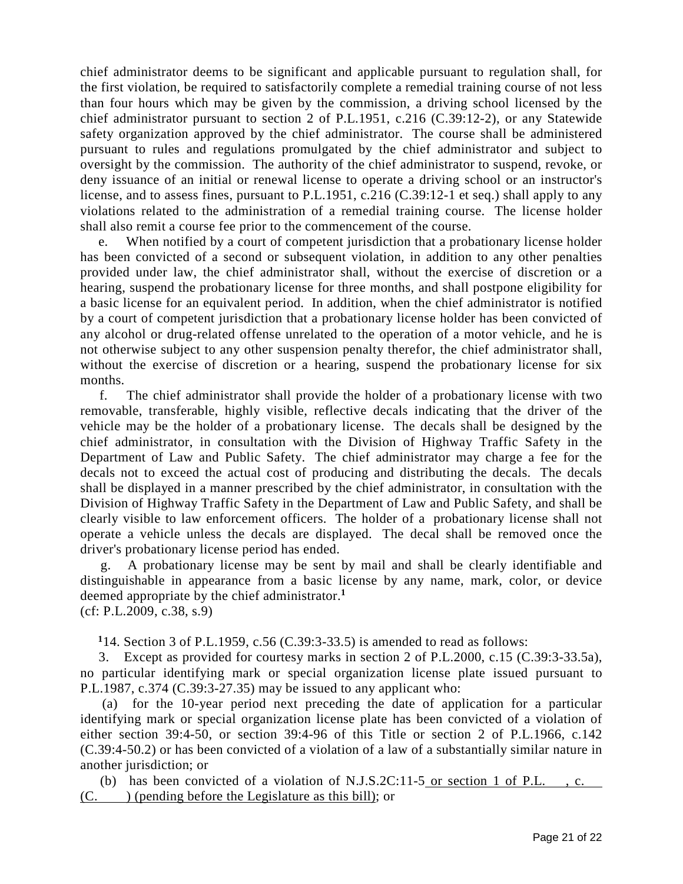chief administrator deems to be significant and applicable pursuant to regulation shall, for the first violation, be required to satisfactorily complete a remedial training course of not less than four hours which may be given by the commission, a driving school licensed by the chief administrator pursuant to section 2 of P.L.1951, c.216 (C.39:12-2), or any Statewide safety organization approved by the chief administrator. The course shall be administered pursuant to rules and regulations promulgated by the chief administrator and subject to oversight by the commission. The authority of the chief administrator to suspend, revoke, or deny issuance of an initial or renewal license to operate a driving school or an instructor's license, and to assess fines, pursuant to P.L.1951, c.216 (C.39:12-1 et seq.) shall apply to any violations related to the administration of a remedial training course. The license holder shall also remit a course fee prior to the commencement of the course.

 e. When notified by a court of competent jurisdiction that a probationary license holder has been convicted of a second or subsequent violation, in addition to any other penalties provided under law, the chief administrator shall, without the exercise of discretion or a hearing, suspend the probationary license for three months, and shall postpone eligibility for a basic license for an equivalent period. In addition, when the chief administrator is notified by a court of competent jurisdiction that a probationary license holder has been convicted of any alcohol or drug-related offense unrelated to the operation of a motor vehicle, and he is not otherwise subject to any other suspension penalty therefor, the chief administrator shall, without the exercise of discretion or a hearing, suspend the probationary license for six months.

 f. The chief administrator shall provide the holder of a probationary license with two removable, transferable, highly visible, reflective decals indicating that the driver of the vehicle may be the holder of a probationary license. The decals shall be designed by the chief administrator, in consultation with the Division of Highway Traffic Safety in the Department of Law and Public Safety. The chief administrator may charge a fee for the decals not to exceed the actual cost of producing and distributing the decals. The decals shall be displayed in a manner prescribed by the chief administrator, in consultation with the Division of Highway Traffic Safety in the Department of Law and Public Safety, and shall be clearly visible to law enforcement officers. The holder of a probationary license shall not operate a vehicle unless the decals are displayed. The decal shall be removed once the driver's probationary license period has ended.

 g. A probationary license may be sent by mail and shall be clearly identifiable and distinguishable in appearance from a basic license by any name, mark, color, or device deemed appropriate by the chief administrator.**<sup>1</sup>** (cf: P.L.2009, c.38, s.9)

**<sup>1</sup>**14. Section 3 of P.L.1959, c.56 (C.39:3-33.5) is amended to read as follows:

 3. Except as provided for courtesy marks in section 2 of P.L.2000, c.15 (C.39:3-33.5a), no particular identifying mark or special organization license plate issued pursuant to P.L.1987, c.374 (C.39:3-27.35) may be issued to any applicant who:

 (a) for the 10-year period next preceding the date of application for a particular identifying mark or special organization license plate has been convicted of a violation of either section 39:4-50, or section 39:4-96 of this Title or section 2 of P.L.1966, c.142 (C.39:4-50.2) or has been convicted of a violation of a law of a substantially similar nature in another jurisdiction; or

 (b) has been convicted of a violation of N.J.S.2C:11-5 or section 1 of P.L. , c. (C. ) (pending before the Legislature as this bill); or